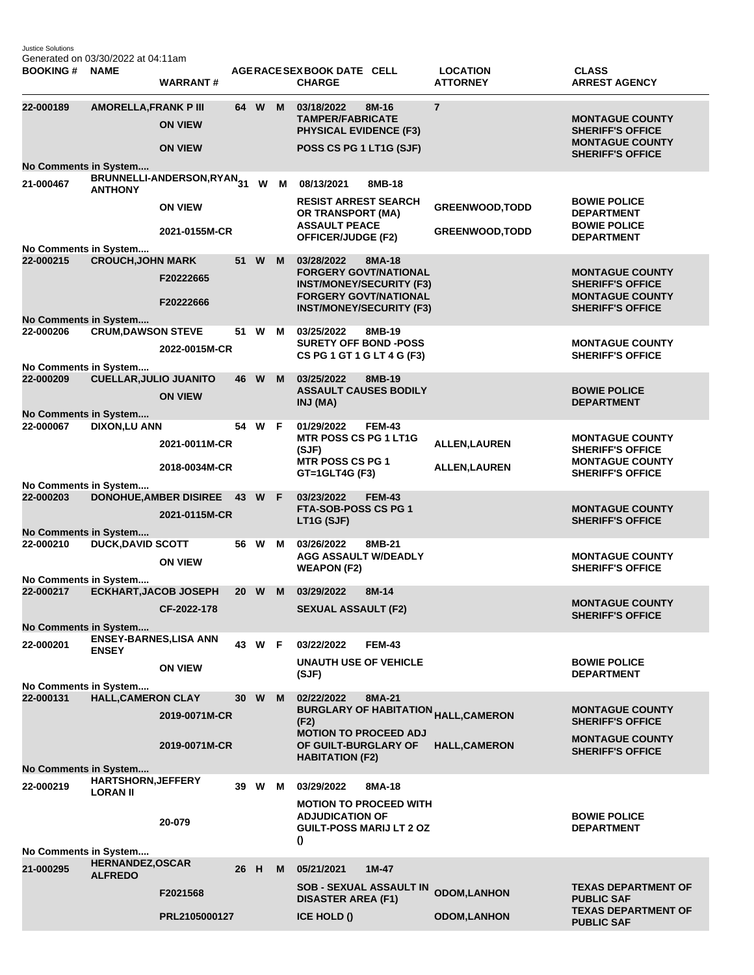Justice Solutions Generated on 03/30/2022 at 04:11am

| <b>BOOKING#</b>                                  | <b>NAME</b>                                  | <b>WARRANT#</b>                        |    |        |     | AGERACE SEX BOOK DATE CELL<br><b>CHARGE</b>                                                        |               | <b>LOCATION</b><br><b>ATTORNEY</b>                    | <b>CLASS</b><br><b>ARREST AGENCY</b>                                         |  |
|--------------------------------------------------|----------------------------------------------|----------------------------------------|----|--------|-----|----------------------------------------------------------------------------------------------------|---------------|-------------------------------------------------------|------------------------------------------------------------------------------|--|
| 22-000189                                        | <b>AMORELLA, FRANK P III</b>                 | <b>ON VIEW</b>                         |    | 64 W   | M   | 03/18/2022<br><b>TAMPER/FABRICATE</b><br><b>PHYSICAL EVIDENCE (F3)</b>                             | 8M-16         | $\overline{7}$                                        | <b>MONTAGUE COUNTY</b><br><b>SHERIFF'S OFFICE</b>                            |  |
|                                                  |                                              | <b>ON VIEW</b>                         |    |        |     | POSS CS PG 1 LT1G (SJF)                                                                            |               |                                                       | <b>MONTAGUE COUNTY</b><br><b>SHERIFF'S OFFICE</b>                            |  |
| No Comments in System<br>21-000467               |                                              | BRUNNELLI-ANDERSON, RYAN <sub>31</sub> |    |        | W M | 08/13/2021                                                                                         | 8MB-18        |                                                       |                                                                              |  |
|                                                  | <b>ANTHONY</b>                               | <b>ON VIEW</b>                         |    |        |     | <b>RESIST ARREST SEARCH</b><br>OR TRANSPORT (MA)<br><b>ASSAULT PEACE</b>                           |               | <b>GREENWOOD, TODD</b>                                | <b>BOWIE POLICE</b><br><b>DEPARTMENT</b><br><b>BOWIE POLICE</b>              |  |
| No Comments in System                            |                                              | 2021-0155M-CR                          |    |        |     | <b>OFFICER/JUDGE (F2)</b>                                                                          |               | <b>GREENWOOD, TODD</b>                                | <b>DEPARTMENT</b>                                                            |  |
| 22-000215                                        | <b>CROUCH, JOHN MARK</b>                     |                                        | 51 | W      | M   | 03/28/2022<br><b>FORGERY GOVT/NATIONAL</b>                                                         | 8MA-18        |                                                       | <b>MONTAGUE COUNTY</b>                                                       |  |
|                                                  |                                              | F20222665<br>F20222666                 |    |        |     | <b>INST/MONEY/SECURITY (F3)</b><br><b>FORGERY GOVT/NATIONAL</b><br><b>INST/MONEY/SECURITY (F3)</b> |               |                                                       | <b>SHERIFF'S OFFICE</b><br><b>MONTAGUE COUNTY</b><br><b>SHERIFF'S OFFICE</b> |  |
| No Comments in System<br>22-000206               | <b>CRUM, DAWSON STEVE</b>                    |                                        |    | 51 W   | м   | 03/25/2022                                                                                         | 8MB-19        |                                                       |                                                                              |  |
| No Comments in System                            |                                              | 2022-0015M-CR                          |    |        |     | <b>SURETY OFF BOND -POSS</b><br>CS PG 1 GT 1 G LT 4 G (F3)                                         |               |                                                       | <b>MONTAGUE COUNTY</b><br><b>SHERIFF'S OFFICE</b>                            |  |
| 22-000209                                        | <b>CUELLAR, JULIO JUANITO</b>                |                                        | 46 | W      | M   | 03/25/2022                                                                                         | 8MB-19        |                                                       |                                                                              |  |
|                                                  |                                              | <b>ON VIEW</b>                         |    |        |     | <b>ASSAULT CAUSES BODILY</b><br>INJ (MA)                                                           |               |                                                       | <b>BOWIE POLICE</b><br><b>DEPARTMENT</b>                                     |  |
| <b>No Comments in System</b><br>22-000067        | <b>DIXON,LU ANN</b>                          |                                        |    | 54 W F |     | 01/29/2022                                                                                         | <b>FEM-43</b> |                                                       |                                                                              |  |
|                                                  |                                              | 2021-0011M-CR                          |    |        |     | <b>MTR POSS CS PG 1 LT1G</b><br>(SJF)                                                              |               | <b>ALLEN, LAUREN</b>                                  | <b>MONTAGUE COUNTY</b><br><b>SHERIFF'S OFFICE</b>                            |  |
|                                                  |                                              | 2018-0034M-CR                          |    |        |     | <b>MTR POSS CS PG 1</b><br>GT=1GLT4G (F3)                                                          |               | <b>ALLEN, LAUREN</b>                                  | <b>MONTAGUE COUNTY</b><br><b>SHERIFF'S OFFICE</b>                            |  |
| No Comments in System<br>22-000203               |                                              | <b>DONOHUE, AMBER DISIREE</b>          |    | 43 W F |     | 03/23/2022                                                                                         | <b>FEM-43</b> |                                                       |                                                                              |  |
|                                                  |                                              | 2021-0115M-CR                          |    |        |     | FTA-SOB-POSS CS PG 1<br>LT1G (SJF)                                                                 |               |                                                       | <b>MONTAGUE COUNTY</b><br><b>SHERIFF'S OFFICE</b>                            |  |
| No Comments in System<br>22-000210               | <b>DUCK, DAVID SCOTT</b>                     |                                        |    | 56 W   | M   | 03/26/2022                                                                                         | 8MB-21        |                                                       |                                                                              |  |
|                                                  |                                              | <b>ON VIEW</b>                         |    |        |     | <b>AGG ASSAULT W/DEADLY</b><br><b>WEAPON (F2)</b>                                                  |               |                                                       | <b>MONTAGUE COUNTY</b><br><b>SHERIFF'S OFFICE</b>                            |  |
| No Comments in System<br>22-000217               | <b>ECKHART, JACOB JOSEPH</b>                 |                                        |    | 20 W   | M   | 03/29/2022                                                                                         | 8M-14         |                                                       |                                                                              |  |
|                                                  |                                              | CF-2022-178                            |    |        |     | <b>SEXUAL ASSAULT (F2)</b>                                                                         |               |                                                       | <b>MONTAGUE COUNTY</b><br><b>SHERIFF'S OFFICE</b>                            |  |
| No Comments in System                            | <b>ENSEY-BARNES, LISA ANN</b>                |                                        |    |        |     |                                                                                                    |               |                                                       |                                                                              |  |
| 22-000201                                        | <b>ENSEY</b>                                 | <b>ON VIEW</b>                         |    | 43 W F |     | 03/22/2022<br><b>UNAUTH USE OF VEHICLE</b>                                                         | <b>FEM-43</b> |                                                       | <b>BOWIE POLICE</b>                                                          |  |
| No Comments in System                            |                                              |                                        |    |        |     | (SJF)                                                                                              |               |                                                       | <b>DEPARTMENT</b>                                                            |  |
| 22-000131                                        | <b>HALL, CAMERON CLAY</b>                    |                                        | 30 | W      | M   | 02/22/2022                                                                                         | 8MA-21        |                                                       |                                                                              |  |
|                                                  |                                              | 2019-0071M-CR                          |    |        |     | (F2)<br><b>MOTION TO PROCEED ADJ</b>                                                               |               | <b>BURGLARY OF HABITATION <sub>HALL,</sub>CAMERON</b> | <b>MONTAGUE COUNTY</b><br><b>SHERIFF'S OFFICE</b>                            |  |
|                                                  |                                              | 2019-0071M-CR                          |    |        |     | OF GUILT-BURGLARY OF<br><b>HABITATION (F2)</b>                                                     |               | <b>HALL, CAMERON</b>                                  | <b>MONTAGUE COUNTY</b><br><b>SHERIFF'S OFFICE</b>                            |  |
| No Comments in System                            |                                              |                                        |    |        |     |                                                                                                    |               |                                                       |                                                                              |  |
| 22-000219                                        | <b>HARTSHORN, JEFFERY</b><br><b>LORAN II</b> |                                        |    | 39 W   | М   | 03/29/2022                                                                                         | 8MA-18        |                                                       |                                                                              |  |
|                                                  |                                              | 20-079                                 |    |        |     | <b>MOTION TO PROCEED WITH</b><br><b>ADJUDICATION OF</b><br><b>GUILT-POSS MARIJ LT 2 OZ</b><br>0    |               |                                                       | <b>BOWIE POLICE</b><br><b>DEPARTMENT</b>                                     |  |
| No Comments in System<br><b>HERNANDEZ, OSCAR</b> |                                              |                                        |    |        |     |                                                                                                    |               |                                                       |                                                                              |  |
| 21-000295                                        | <b>ALFREDO</b>                               | F2021568                               | 26 | - H    | м   | 05/21/2021<br><b>SOB - SEXUAL ASSAULT IN</b>                                                       | $1M-47$       | <b>ODOM,LANHON</b>                                    | <b>TEXAS DEPARTMENT OF</b>                                                   |  |
|                                                  |                                              |                                        |    |        |     | <b>DISASTER AREA (F1)</b>                                                                          |               |                                                       | <b>PUBLIC SAF</b><br><b>TEXAS DEPARTMENT OF</b>                              |  |
|                                                  |                                              | PRL2105000127                          |    |        |     | ICE HOLD ()                                                                                        |               | <b>ODOM,LANHON</b>                                    | <b>PUBLIC SAF</b>                                                            |  |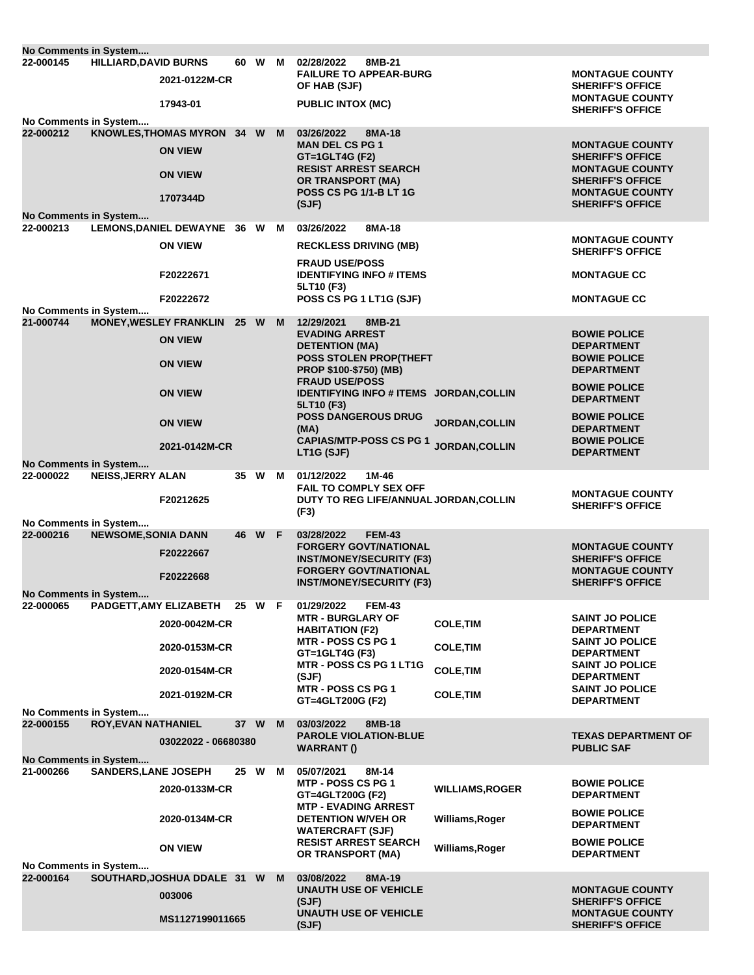| No Comments in System                                                                                 |                              |                                                                |      |        |   |                                                                                                      |                        |                                                                              |  |
|-------------------------------------------------------------------------------------------------------|------------------------------|----------------------------------------------------------------|------|--------|---|------------------------------------------------------------------------------------------------------|------------------------|------------------------------------------------------------------------------|--|
| 22-000145                                                                                             | <b>HILLIARD, DAVID BURNS</b> | 2021-0122M-CR                                                  | 60 W |        | м | 02/28/2022<br>8MB-21<br><b>FAILURE TO APPEAR-BURG</b><br>OF HAB (SJF)                                |                        | <b>MONTAGUE COUNTY</b><br><b>SHERIFF'S OFFICE</b>                            |  |
|                                                                                                       |                              | 17943-01                                                       |      |        |   | <b>PUBLIC INTOX (MC)</b>                                                                             |                        | <b>MONTAGUE COUNTY</b><br><b>SHERIFF'S OFFICE</b>                            |  |
| No Comments in System                                                                                 |                              |                                                                |      |        |   |                                                                                                      |                        |                                                                              |  |
| 22-000212                                                                                             |                              | KNOWLES, THOMAS MYRON 34 W<br><b>ON VIEW</b><br><b>ON VIEW</b> |      |        | M | 03/26/2022<br>8MA-18<br><b>MAN DEL CS PG 1</b><br>$GT = 1$ GLT4G (F2)<br><b>RESIST ARREST SEARCH</b> |                        | <b>MONTAGUE COUNTY</b><br><b>SHERIFF'S OFFICE</b><br><b>MONTAGUE COUNTY</b>  |  |
| No Comments in System                                                                                 |                              | 1707344D                                                       |      |        |   | <b>OR TRANSPORT (MA)</b><br><b>POSS CS PG 1/1-B LT 1G</b><br>(SJF)                                   |                        | <b>SHERIFF'S OFFICE</b><br><b>MONTAGUE COUNTY</b><br><b>SHERIFF'S OFFICE</b> |  |
| 22-000213                                                                                             |                              | LEMONS, DANIEL DEWAYNE 36 W                                    |      |        | м | 03/26/2022<br>8MA-18                                                                                 |                        |                                                                              |  |
|                                                                                                       |                              | <b>ON VIEW</b>                                                 |      |        |   | <b>RECKLESS DRIVING (MB)</b>                                                                         |                        | <b>MONTAGUE COUNTY</b><br><b>SHERIFF'S OFFICE</b>                            |  |
|                                                                                                       |                              | F20222671                                                      |      |        |   | <b>FRAUD USE/POSS</b><br><b>IDENTIFYING INFO # ITEMS</b><br>5LT10 (F3)                               |                        | <b>MONTAGUE CC</b>                                                           |  |
| No Comments in System                                                                                 |                              | F20222672                                                      |      |        |   | POSS CS PG 1 LT1G (SJF)                                                                              |                        | <b>MONTAGUE CC</b>                                                           |  |
| 21-000744                                                                                             |                              | <b>MONEY, WESLEY FRANKLIN</b>                                  | 25 W |        | M | 12/29/2021<br>8MB-21                                                                                 |                        |                                                                              |  |
|                                                                                                       |                              | <b>ON VIEW</b>                                                 |      |        |   | <b>EVADING ARREST</b><br><b>DETENTION (MA)</b>                                                       |                        | <b>BOWIE POLICE</b><br><b>DEPARTMENT</b>                                     |  |
|                                                                                                       |                              | <b>ON VIEW</b>                                                 |      |        |   | POSS STOLEN PROP(THEFT<br>PROP \$100-\$750) (MB)<br><b>FRAUD USE/POSS</b>                            |                        | <b>BOWIE POLICE</b><br><b>DEPARTMENT</b>                                     |  |
|                                                                                                       |                              | <b>ON VIEW</b>                                                 |      |        |   | IDENTIFYING INFO # ITEMS JORDAN, COLLIN<br>5LT10 (F3)                                                |                        | <b>BOWIE POLICE</b><br><b>DEPARTMENT</b>                                     |  |
|                                                                                                       |                              | <b>ON VIEW</b>                                                 |      |        |   | <b>POSS DANGEROUS DRUG</b><br>(MA)                                                                   | JORDAN, COLLIN         | <b>BOWIE POLICE</b><br><b>DEPARTMENT</b>                                     |  |
|                                                                                                       |                              | 2021-0142M-CR                                                  |      |        |   | <b>CAPIAS/MTP-POSS CS PG 1</b><br>LT1G (SJF)                                                         | JORDAN, COLLIN         | <b>BOWIE POLICE</b><br><b>DEPARTMENT</b>                                     |  |
| No Comments in System                                                                                 |                              |                                                                |      |        |   |                                                                                                      |                        |                                                                              |  |
| 22-000022                                                                                             | <b>NEISS, JERRY ALAN</b>     | F20212625                                                      | 35   | W      | м | 01/12/2022<br>1M-46<br><b>FAIL TO COMPLY SEX OFF</b><br>DUTY TO REG LIFE/ANNUAL JORDAN, COLLIN       |                        | <b>MONTAGUE COUNTY</b>                                                       |  |
| No Comments in System                                                                                 |                              |                                                                |      |        |   | (F3)                                                                                                 |                        | <b>SHERIFF'S OFFICE</b>                                                      |  |
| 22-000216                                                                                             | <b>NEWSOME, SONIA DANN</b>   |                                                                | 46   | W      | F | 03/28/2022<br><b>FEM-43</b>                                                                          |                        |                                                                              |  |
|                                                                                                       |                              | F20222667                                                      |      |        |   | <b>FORGERY GOVT/NATIONAL</b>                                                                         |                        | <b>MONTAGUE COUNTY</b>                                                       |  |
|                                                                                                       |                              |                                                                |      |        |   | <b>INST/MONEY/SECURITY (F3)</b><br><b>FORGERY GOVT/NATIONAL</b>                                      |                        | <b>SHERIFF'S OFFICE</b><br><b>MONTAGUE COUNTY</b>                            |  |
|                                                                                                       |                              | F20222668                                                      |      |        |   | <b>INST/MONEY/SECURITY (F3)</b>                                                                      |                        | <b>SHERIFF'S OFFICE</b>                                                      |  |
| No Comments in System<br>22-000065                                                                    |                              | PADGETT, AMY ELIZABETH                                         |      | 25 W F |   | <b>FEM-43</b><br>01/29/2022                                                                          |                        |                                                                              |  |
|                                                                                                       |                              | 2020-0042M-CR                                                  |      |        |   | <b>MTR - BURGLARY OF</b>                                                                             | <b>COLE, TIM</b>       | <b>SAINT JO POLICE</b>                                                       |  |
|                                                                                                       |                              |                                                                |      |        |   | <b>HABITATION (F2)</b><br><b>MTR - POSS CS PG 1</b>                                                  |                        | <b>DEPARTMENT</b><br><b>SAINT JO POLICE</b>                                  |  |
|                                                                                                       |                              | 2020-0153M-CR                                                  |      |        |   | GT=1GLT4G (F3)<br>MTR - POSS CS PG 1 LT1G                                                            | <b>COLE, TIM</b>       | <b>DEPARTMENT</b><br><b>SAINT JO POLICE</b>                                  |  |
|                                                                                                       |                              | 2020-0154M-CR                                                  |      |        |   | (SJF)<br>MTR - POSS CS PG 1                                                                          | <b>COLE, TIM</b>       | <b>DEPARTMENT</b>                                                            |  |
|                                                                                                       |                              | 2021-0192M-CR                                                  |      |        |   | GT=4GLT200G (F2)                                                                                     | <b>COLE, TIM</b>       | <b>SAINT JO POLICE</b><br><b>DEPARTMENT</b>                                  |  |
| No Comments in System<br>22-000155                                                                    | <b>ROY, EVAN NATHANIEL</b>   |                                                                | 37 W |        | M | 03/03/2022<br>8MB-18                                                                                 |                        |                                                                              |  |
|                                                                                                       |                              | 03022022 - 06680380                                            |      |        |   | <b>PAROLE VIOLATION-BLUE</b>                                                                         |                        | <b>TEXAS DEPARTMENT OF</b>                                                   |  |
|                                                                                                       |                              |                                                                |      |        |   | WARRANT()                                                                                            |                        | <b>PUBLIC SAF</b>                                                            |  |
| No Comments in System<br><b>SANDERS, LANE JOSEPH</b><br>21-000266<br>25 W<br>05/07/2021<br>8M-14<br>м |                              |                                                                |      |        |   |                                                                                                      |                        |                                                                              |  |
|                                                                                                       |                              | 2020-0133M-CR                                                  |      |        |   | <b>MTP - POSS CS PG 1</b>                                                                            | <b>WILLIAMS, ROGER</b> | <b>BOWIE POLICE</b>                                                          |  |
|                                                                                                       |                              |                                                                |      |        |   | GT=4GLT200G (F2)<br><b>MTP - EVADING ARREST</b>                                                      |                        | <b>DEPARTMENT</b><br><b>BOWIE POLICE</b>                                     |  |
|                                                                                                       |                              | 2020-0134M-CR                                                  |      |        |   | <b>DETENTION W/VEH OR</b><br><b>WATERCRAFT (SJF)</b>                                                 | Williams, Roger        | <b>DEPARTMENT</b>                                                            |  |
| No Comments in System                                                                                 |                              | <b>ON VIEW</b>                                                 |      |        |   | <b>RESIST ARREST SEARCH</b><br>OR TRANSPORT (MA)                                                     | Williams, Roger        | <b>BOWIE POLICE</b><br><b>DEPARTMENT</b>                                     |  |
| 22-000164                                                                                             |                              | SOUTHARD, JOSHUA DDALE 31 W                                    |      |        | M | 03/08/2022<br>8MA-19                                                                                 |                        |                                                                              |  |
|                                                                                                       |                              | 003006                                                         |      |        |   | <b>UNAUTH USE OF VEHICLE</b><br>(SJF)                                                                |                        | <b>MONTAGUE COUNTY</b><br><b>SHERIFF'S OFFICE</b>                            |  |
|                                                                                                       |                              | MS1127199011665                                                |      |        |   | <b>UNAUTH USE OF VEHICLE</b><br>(SJF)                                                                |                        | <b>MONTAGUE COUNTY</b><br><b>SHERIFF'S OFFICE</b>                            |  |
|                                                                                                       |                              |                                                                |      |        |   |                                                                                                      |                        |                                                                              |  |